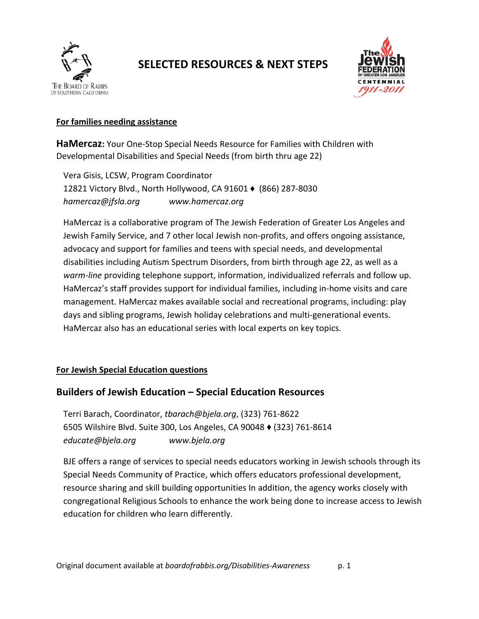

# **SELECTED RESOURCES & NEXT STEPS**



#### **For families needing assistance**

**HaMercaz:** Your One-Stop Special Needs Resource for Families with Children with Developmental Disabilities and Special Needs (from birth thru age 22)

Vera Gisis, LCSW, Program Coordinator 12821 Victory Blvd., North Hollywood, CA 91601 ♦ (866) 287-8030 *[hamercaz@jfsla.org](mailto:hamercaz@jfsla.org) [www.hamercaz.org](http://www.hamercaz.org/)*

HaMercaz is a collaborative program of The Jewish Federation of Greater Los Angeles and Jewish Family Service, and 7 other local Jewish non-profits, and offers ongoing assistance, advocacy and support for families and teens with special needs, and developmental disabilities including Autism Spectrum Disorders, from birth through age 22, as well as a *warm-line* providing telephone support, information, individualized referrals and follow up. HaMercaz's staff provides support for individual families, including in-home visits and care management. HaMercaz makes available social and recreational programs, including: play days and sibling programs, Jewish holiday celebrations and multi-generational events. HaMercaz also has an educational series with local experts on key topics.

### **For Jewish Special Education questions**

# **Builders of Jewish Education – Special Education Resources**

Terri Barach, Coordinator, *[tbarach@bjela.org](mailto:tbarach@bjela.org)*, (323) 761-8622 6505 Wilshire Blvd. Suite 300, Los Angeles, CA 90048 ♦ (323) 761-8614 *[educate@bjela.org](mailto:educate@bjela.org) [www.bjela.org](http://www.bjela.org/)*

BJE offers a range of services to special needs educators working in Jewish schools through its Special Needs Community of Practice, which offers educators professional development, resource sharing and skill building opportunities In addition, the agency works closely with congregational Religious Schools to enhance the work being done to increase access to Jewish education for children who learn differently.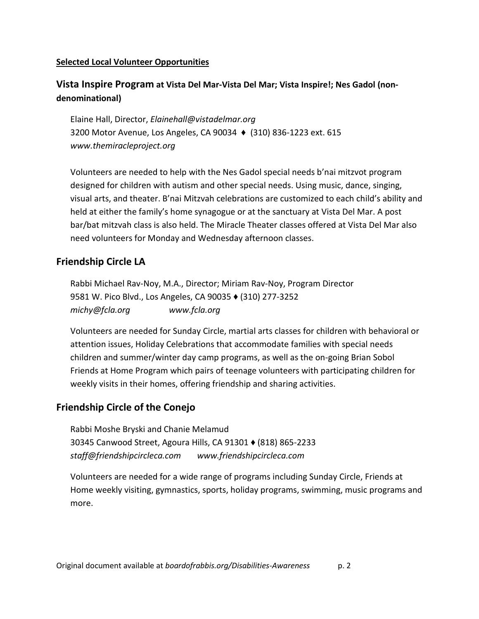#### **Selected Local Volunteer Opportunities**

# **Vista Inspire Program at Vista Del Mar-Vista Del Mar; Vista Inspire!; Nes Gadol (nondenominational)**

Elaine Hall, Director, *[Elainehall@vistadelmar.org](mailto:Elainehall@vistadelmar.org)* 3200 Motor Avenue, Los Angeles, CA 90034 ♦ (310) 836-1223 ext. 615 *[www.themiracleproject.org](http://www.themiracleproject.org/)*

Volunteers are needed to help with the Nes Gadol special needs b'nai mitzvot program designed for children with autism and other special needs. Using music, dance, singing, visual arts, and theater. B'nai Mitzvah celebrations are customized to each child's ability and held at either the family's home synagogue or at the sanctuary at Vista Del Mar. A post bar/bat mitzvah class is also held. The Miracle Theater classes offered at Vista Del Mar also need volunteers for Monday and Wednesday afternoon classes.

## **Friendship Circle LA**

Rabbi Michael Rav-Noy, M.A., Director; Miriam Rav-Noy, Program Director 9581 W. Pico Blvd., Los Angeles, CA 90035 ♦ (310) 277-3252 *[michy@fcla.org](mailto:michy@fcla.org) [www.fcla.org](http://www.fcla.org/)*

Volunteers are needed for Sunday Circle, martial arts classes for children with behavioral or attention issues, Holiday Celebrations that accommodate families with special needs children and summer/winter day camp programs, as well as the on-going Brian Sobol Friends at Home Program which pairs of teenage volunteers with participating children for weekly visits in their homes, offering friendship and sharing activities.

### **Friendship Circle of the Conejo**

Rabbi Moshe Bryski and Chanie Melamud 30345 Canwood Street, Agoura Hills, CA 91301 ♦ (818) 865-2233 *[staff@friendshipcircleca.com](mailto:staff@friendshipcircleca.com) [www.friendshipcircleca.com](http://www.friendshipcircleca.com/)*

Volunteers are needed for a wide range of programs including Sunday Circle, Friends at Home weekly visiting, gymnastics, sports, holiday programs, swimming, music programs and more.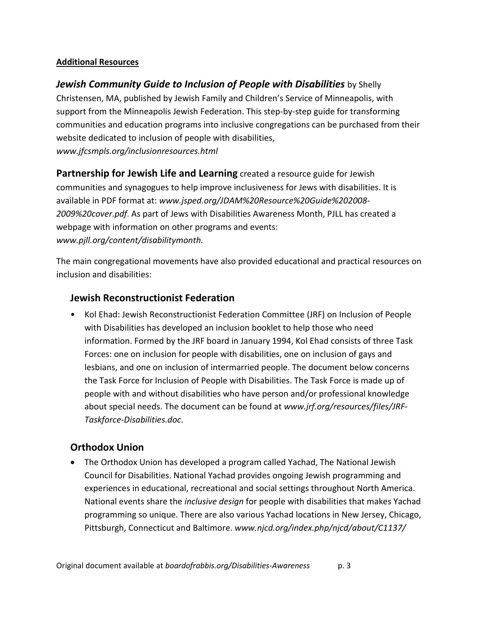#### **Additional Resources**

*[Jewish Community Guide to Inclusion of People with Disabilities](http://www.jfcsmpls.org/inclusionresources.html)* by Shelly Christensen, MA, published by Jewish Family and Children's Service of Minneapolis, with support from the Minneapolis Jewish Federation. This step-by-step guide for transforming communities and education programs into inclusive congregations can be purchased from their website dedicated to inclusion of people with disabilities, *[www.jfcsmpls.org/inclusionresources.html](http://www.jfcsmpls.org/inclusionresources.html)*

**Partnership for Jewish Life and Learning** created a resource guide for Jewish communities and synagogues to help improve inclusiveness for Jews with disabilities. It is available in PDF format at: *[www.jsped.org/JDAM%20Resource%20Guide%202008-](http://www.jsped.org/JDAM%20Resource%20Guide%202008-2009%20cover.pdf) [2009%20cover.pdf](http://www.jsped.org/JDAM%20Resource%20Guide%202008-2009%20cover.pdf)*. As part of Jews with Disabilities Awareness Month, PJLL has created a webpage with information on other programs and events: *[www.pjll.org/content/disabilitymonth.](http://www.pjll.org/content/disabilitymonth)*

The main congregational movements have also provided educational and practical resources on inclusion and disabilities:

# **Jewish Reconstructionist Federation**

• Kol Ehad: Jewish Reconstructionist Federation Committee (JRF) on Inclusion of People with Disabilities has developed an inclusion booklet to help those who need information. Formed by the JRF board in January 1994, Kol Ehad consists of three Task Forces: one on inclusion for people with disabilities, one on inclusion of gays and lesbians, and one on inclusion of intermarried people. The document below concerns the Task Force for Inclusion of People with Disabilities. The Task Force is made up of people with and without disabilities who have person and/or professional knowledge about special needs. The document can be found at *[www.jrf.org/resources/files/JRF-](http://www.jrf.org/resources/files/JRF-Taskforce-Disabilities.doc)[Taskforce-Disabilities.doc](http://www.jrf.org/resources/files/JRF-Taskforce-Disabilities.doc)*.

# **Orthodox Union**

• The Orthodox Union has developed a program called Yachad, The National Jewish Council for Disabilities. National Yachad provides ongoing Jewish programming and experiences in educational, recreational and social settings throughout North America. National events share the *inclusive design* for people with disabilities that makes Yachad programming so unique. There are also various Yachad locations in New Jersey, Chicago, Pittsburgh, Connecticut and Baltimore. *[www.njcd.org/index.php/njcd/about/C1137/](http://www.njcd.org/index.php/njcd/about/C1137/)*